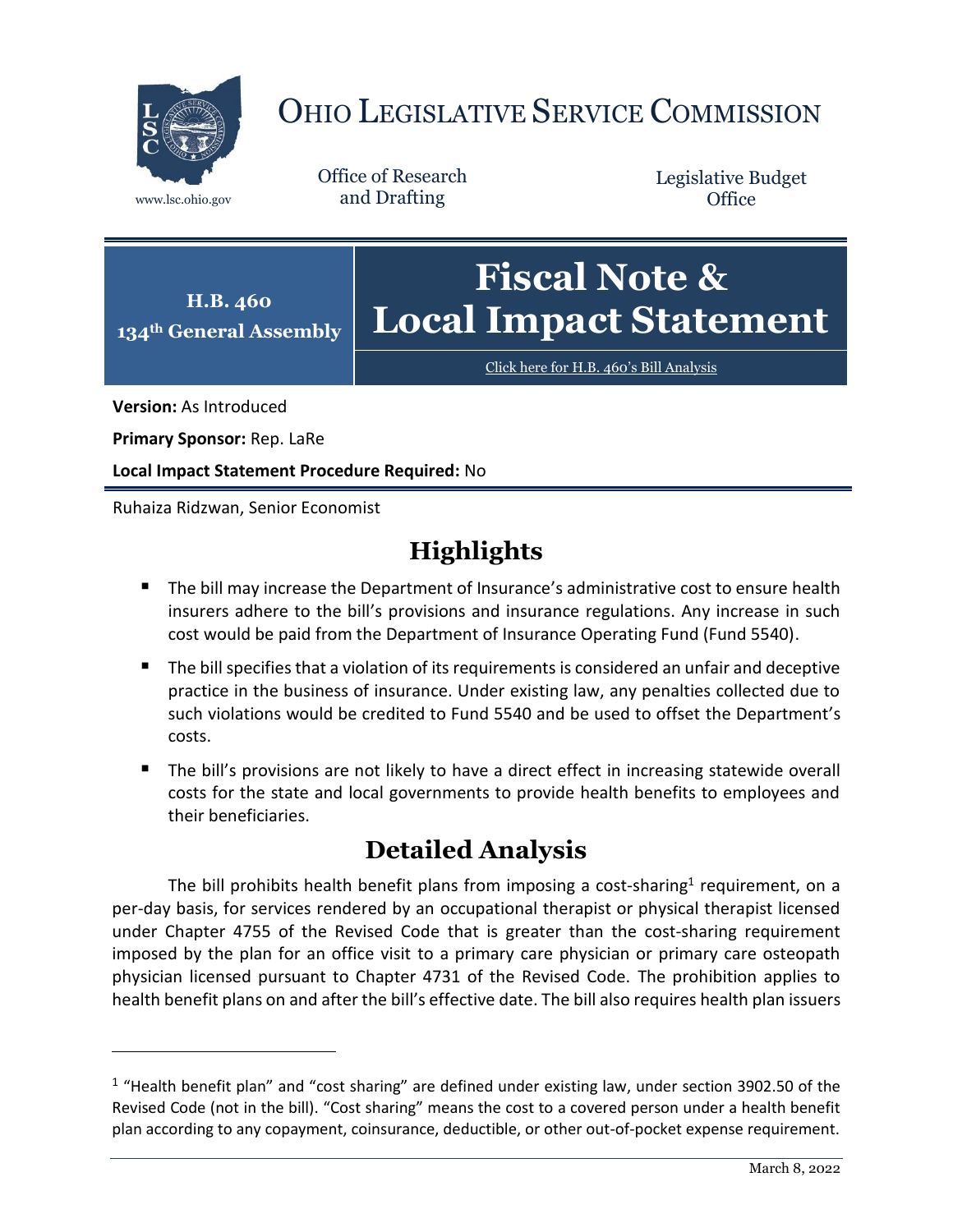

## OHIO LEGISLATIVE SERVICE COMMISSION

Office of Research www.lsc.ohio.gov and Drafting

Legislative Budget **Office** 



[Click here for H.B. 460](https://www.legislature.ohio.gov/legislation/legislation-documents?id=GA134-HB-460)'s Bill Analysis

**Version:** As Introduced

 $\overline{a}$ 

**Primary Sponsor:** Rep. LaRe

**Local Impact Statement Procedure Required:** No

Ruhaiza Ridzwan, Senior Economist

## **Highlights**

- The bill may increase the Department of Insurance's administrative cost to ensure health insurers adhere to the bill's provisions and insurance regulations. Any increase in such cost would be paid from the Department of Insurance Operating Fund (Fund 5540).
- The bill specifies that a violation of its requirements is considered an unfair and deceptive practice in the business of insurance. Under existing law, any penalties collected due to such violations would be credited to Fund 5540 and be used to offset the Department's costs.
- The bill's provisions are not likely to have a direct effect in increasing statewide overall costs for the state and local governments to provide health benefits to employees and their beneficiaries.

## **Detailed Analysis**

The bill prohibits health benefit plans from imposing a cost-sharing<sup>1</sup> requirement, on a per-day basis, for services rendered by an occupational therapist or physical therapist licensed under Chapter 4755 of the Revised Code that is greater than the cost-sharing requirement imposed by the plan for an office visit to a primary care physician or primary care osteopath physician licensed pursuant to Chapter 4731 of the Revised Code. The prohibition applies to health benefit plans on and after the bill's effective date. The bill also requires health plan issuers

 $1$  "Health benefit plan" and "cost sharing" are defined under existing law, under section 3902.50 of the Revised Code (not in the bill). "Cost sharing" means the cost to a covered person under a health benefit plan according to any copayment, coinsurance, deductible, or other out-of-pocket expense requirement.